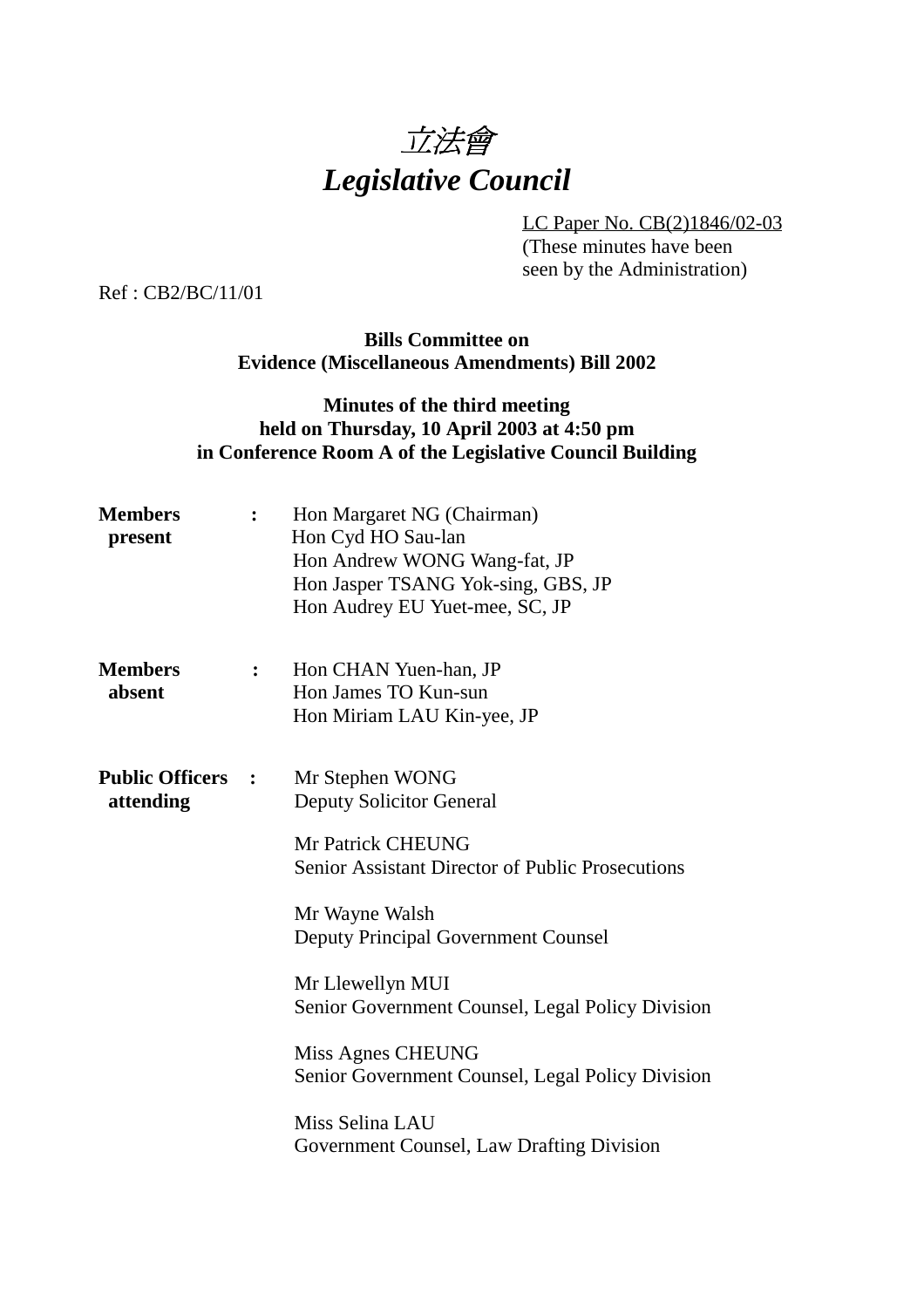

LC Paper No. CB(2)1846/02-03 (These minutes have been seen by the Administration)

Ref : CB2/BC/11/01

### **Bills Committee on Evidence (Miscellaneous Amendments) Bill 2002**

# **Minutes of the third meeting held on Thursday, 10 April 2003 at 4:50 pm in Conference Room A of the Legislative Council Building**

| <b>Members</b><br>present             |              | Hon Margaret NG (Chairman)<br>Hon Cyd HO Sau-lan<br>Hon Andrew WONG Wang-fat, JP<br>Hon Jasper TSANG Yok-sing, GBS, JP<br>Hon Audrey EU Yuet-mee, SC, JP                                                                                                                                                                                                               |
|---------------------------------------|--------------|------------------------------------------------------------------------------------------------------------------------------------------------------------------------------------------------------------------------------------------------------------------------------------------------------------------------------------------------------------------------|
| <b>Members</b><br>absent              | $\mathbf{L}$ | Hon CHAN Yuen-han, JP<br>Hon James TO Kun-sun<br>Hon Miriam LAU Kin-yee, JP                                                                                                                                                                                                                                                                                            |
| <b>Public Officers :</b><br>attending |              | Mr Stephen WONG<br><b>Deputy Solicitor General</b><br>Mr Patrick CHEUNG<br><b>Senior Assistant Director of Public Prosecutions</b><br>Mr Wayne Walsh<br><b>Deputy Principal Government Counsel</b><br>Mr Llewellyn MUI<br>Senior Government Counsel, Legal Policy Division<br>Miss Agnes CHEUNG<br>Senior Government Counsel, Legal Policy Division<br>Miss Selina LAU |
|                                       |              | Government Counsel, Law Drafting Division                                                                                                                                                                                                                                                                                                                              |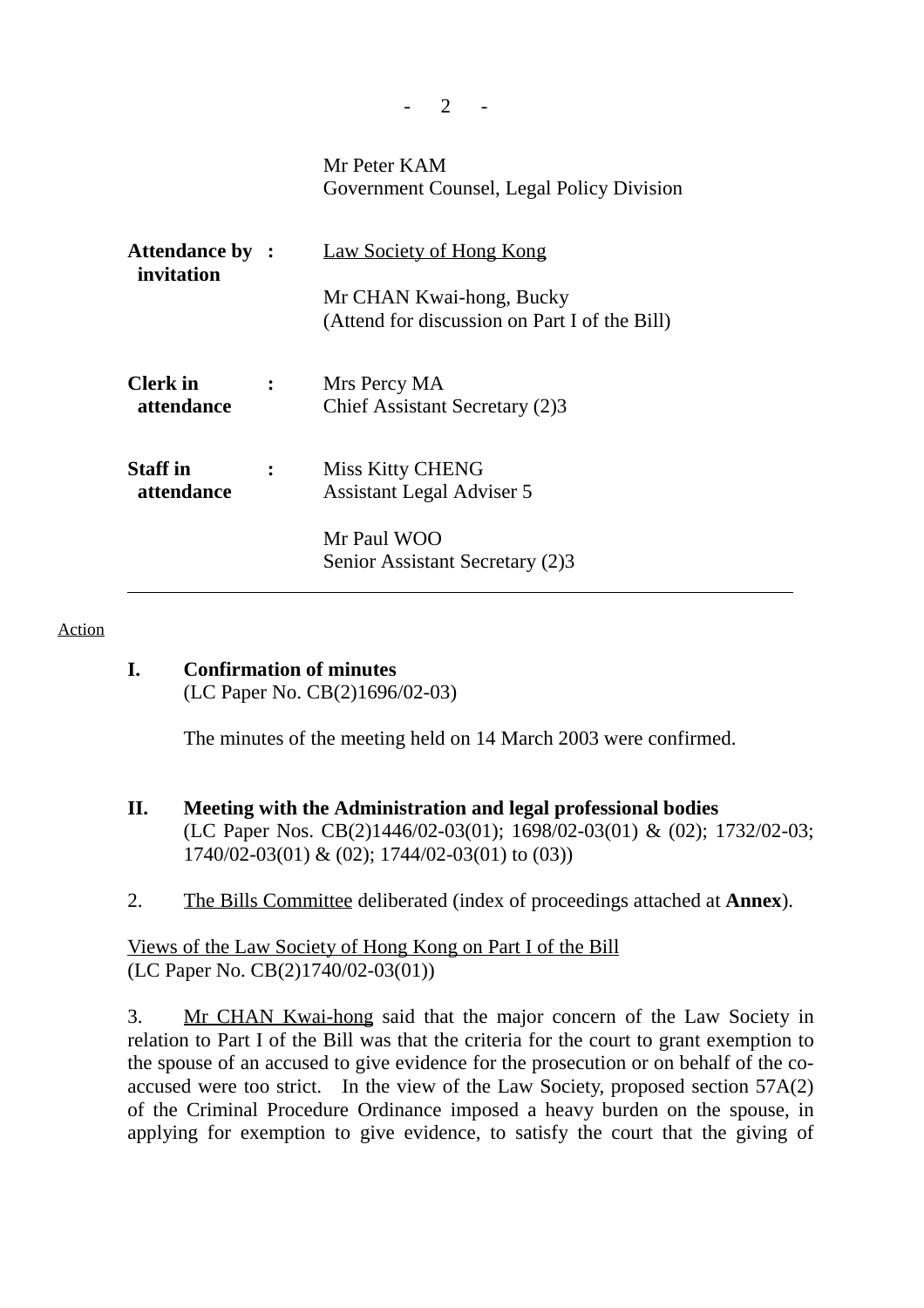|                                      |                | Mr Peter KAM<br>Government Counsel, Legal Policy Division                 |
|--------------------------------------|----------------|---------------------------------------------------------------------------|
| <b>Attendance by :</b><br>invitation |                | <b>Law Society of Hong Kong</b>                                           |
|                                      |                | Mr CHAN Kwai-hong, Bucky<br>(Attend for discussion on Part I of the Bill) |
| Clerk in<br>attendance               | $\ddot{\cdot}$ | Mrs Percy MA<br>Chief Assistant Secretary (2)3                            |
| <b>Staff</b> in<br>attendance        |                | <b>Miss Kitty CHENG</b><br>Assistant Legal Adviser 5                      |
|                                      |                | Mr Paul WOO<br>Senior Assistant Secretary (2)3                            |

 $2 -$ 

#### Action

## **I. Confirmation of minutes**

(LC Paper No. CB(2)1696/02-03)

The minutes of the meeting held on 14 March 2003 were confirmed.

- **II. Meeting with the Administration and legal professional bodies** (LC Paper Nos. CB(2)1446/02-03(01); 1698/02-03(01) & (02); 1732/02-03; 1740/02-03(01) & (02); 1744/02-03(01) to (03))
- 2. The Bills Committee deliberated (index of proceedings attached at **Annex**).

## Views of the Law Society of Hong Kong on Part I of the Bill (LC Paper No. CB(2)1740/02-03(01))

3. Mr CHAN Kwai-hong said that the major concern of the Law Society in relation to Part I of the Bill was that the criteria for the court to grant exemption to the spouse of an accused to give evidence for the prosecution or on behalf of the coaccused were too strict. In the view of the Law Society, proposed section 57A(2) of the Criminal Procedure Ordinance imposed a heavy burden on the spouse, in applying for exemption to give evidence, to satisfy the court that the giving of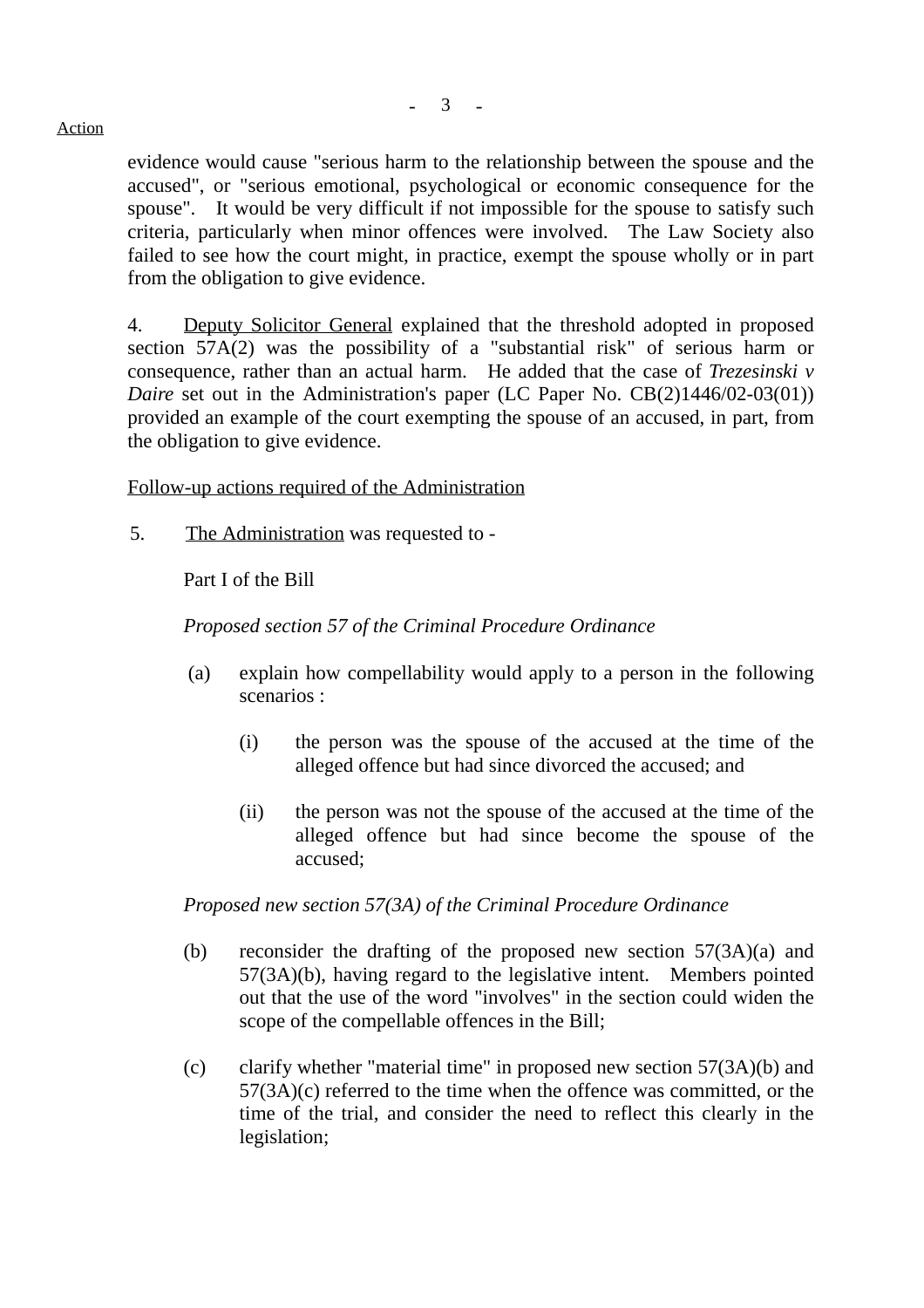#### Action

evidence would cause "serious harm to the relationship between the spouse and the accused", or "serious emotional, psychological or economic consequence for the spouse". It would be very difficult if not impossible for the spouse to satisfy such criteria, particularly when minor offences were involved. The Law Society also failed to see how the court might, in practice, exempt the spouse wholly or in part from the obligation to give evidence.

4. Deputy Solicitor General explained that the threshold adopted in proposed section 57A(2) was the possibility of a "substantial risk" of serious harm or consequence, rather than an actual harm. He added that the case of *Trezesinski v Daire* set out in the Administration's paper (LC Paper No. CB(2)1446/02-03(01)) provided an example of the court exempting the spouse of an accused, in part, from the obligation to give evidence.

Follow-up actions required of the Administration

5. The Administration was requested to -

Part I of the Bill

*Proposed section 57 of the Criminal Procedure Ordinance*

- (a) explain how compellability would apply to a person in the following scenarios :
	- (i) the person was the spouse of the accused at the time of the alleged offence but had since divorced the accused; and
	- (ii) the person was not the spouse of the accused at the time of the alleged offence but had since become the spouse of the accused;

*Proposed new section 57(3A) of the Criminal Procedure Ordinance*

- (b) reconsider the drafting of the proposed new section 57(3A)(a) and 57(3A)(b), having regard to the legislative intent. Members pointed out that the use of the word "involves" in the section could widen the scope of the compellable offences in the Bill;
- (c) clarify whether "material time" in proposed new section 57(3A)(b) and 57(3A)(c) referred to the time when the offence was committed, or the time of the trial, and consider the need to reflect this clearly in the legislation;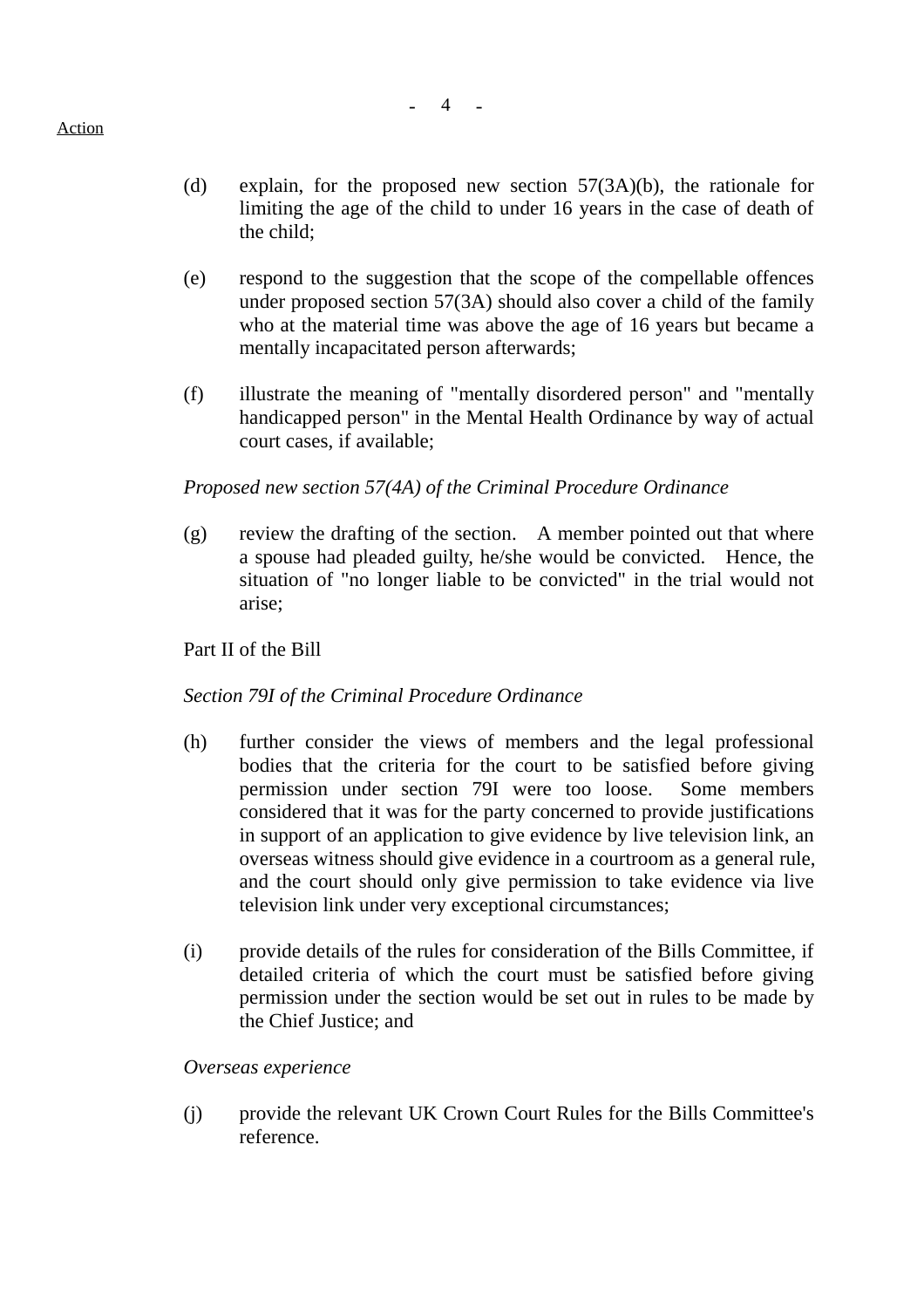- (d) explain, for the proposed new section 57(3A)(b), the rationale for limiting the age of the child to under 16 years in the case of death of the child;
- (e) respond to the suggestion that the scope of the compellable offences under proposed section 57(3A) should also cover a child of the family who at the material time was above the age of 16 years but became a mentally incapacitated person afterwards;
- (f) illustrate the meaning of "mentally disordered person" and "mentally handicapped person" in the Mental Health Ordinance by way of actual court cases, if available;

### *Proposed new section 57(4A) of the Criminal Procedure Ordinance*

(g) review the drafting of the section. A member pointed out that where a spouse had pleaded guilty, he/she would be convicted. Hence, the situation of "no longer liable to be convicted" in the trial would not arise;

### Part II of the Bill

### *Section 79I of the Criminal Procedure Ordinance*

- (h) further consider the views of members and the legal professional bodies that the criteria for the court to be satisfied before giving permission under section 79I were too loose. Some members considered that it was for the party concerned to provide justifications in support of an application to give evidence by live television link, an overseas witness should give evidence in a courtroom as a general rule, and the court should only give permission to take evidence via live television link under very exceptional circumstances;
- (i) provide details of the rules for consideration of the Bills Committee, if detailed criteria of which the court must be satisfied before giving permission under the section would be set out in rules to be made by the Chief Justice; and

### *Overseas experience*

(j) provide the relevant UK Crown Court Rules for the Bills Committee's reference.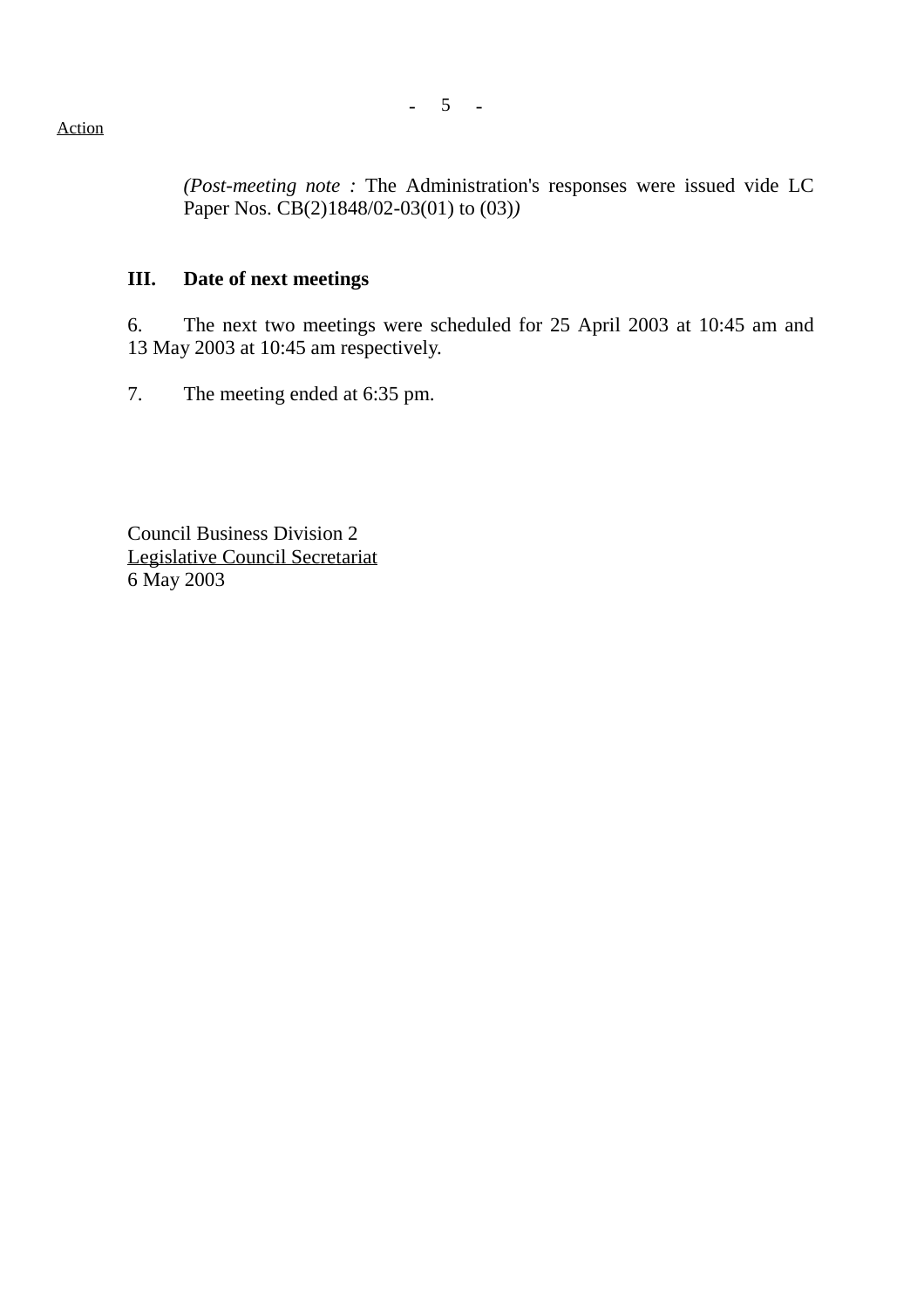Action

*(Post-meeting note :* The Administration's responses were issued vide LC Paper Nos. CB(2)1848/02-03(01) to (03)*)*

## **III. Date of next meetings**

6. The next two meetings were scheduled for 25 April 2003 at 10:45 am and 13 May 2003 at 10:45 am respectively.

7. The meeting ended at 6:35 pm.

Council Business Division 2 Legislative Council Secretariat 6 May 2003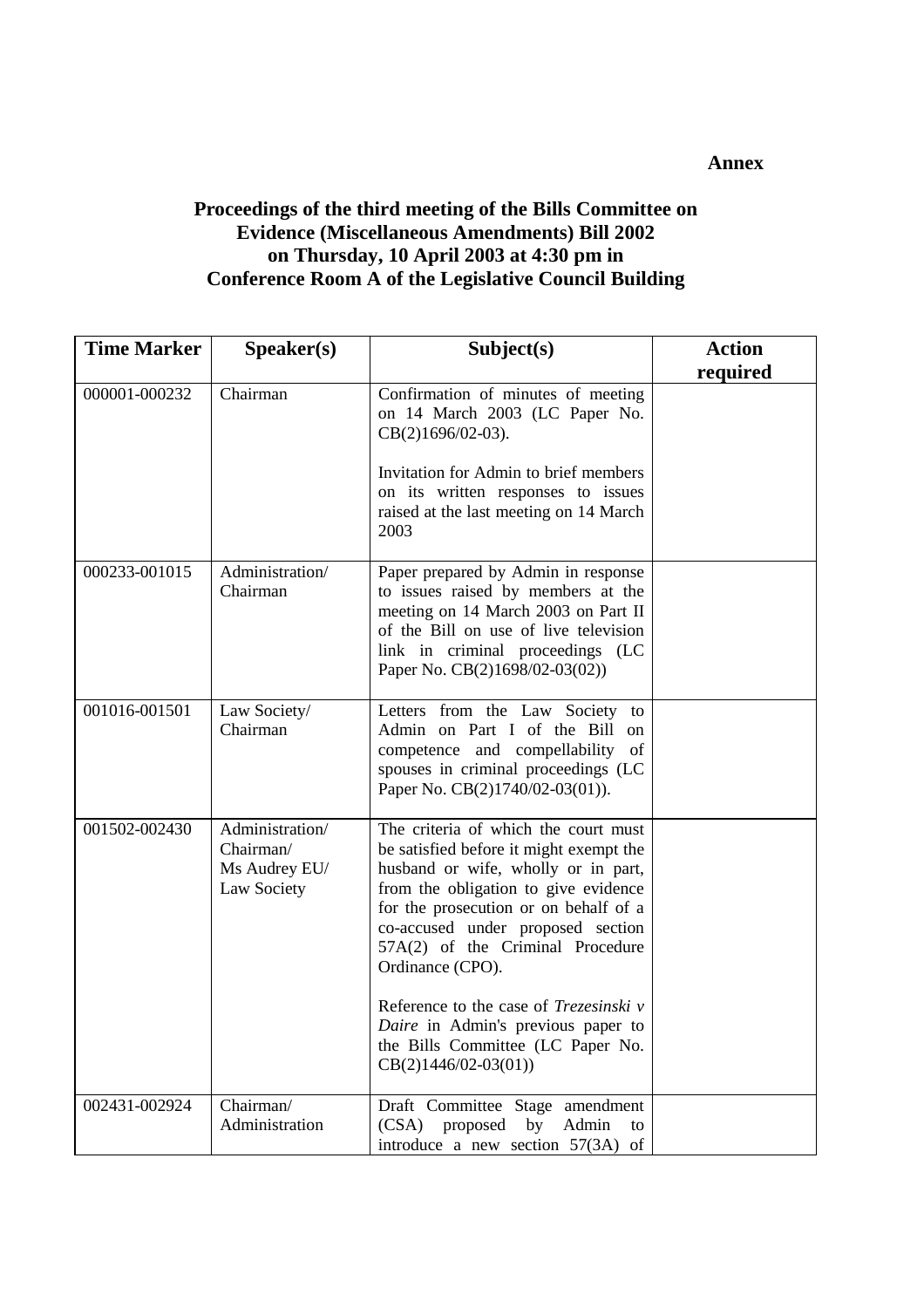#### **Annex**

# **Proceedings of the third meeting of the Bills Committee on Evidence (Miscellaneous Amendments) Bill 2002 on Thursday, 10 April 2003 at 4:30 pm in Conference Room A of the Legislative Council Building**

| <b>Time Marker</b> | Speaker(s)                                                   | Subject(s)                                                                                                                                                                                                                                                                                                                                                                                                                                          | <b>Action</b> |
|--------------------|--------------------------------------------------------------|-----------------------------------------------------------------------------------------------------------------------------------------------------------------------------------------------------------------------------------------------------------------------------------------------------------------------------------------------------------------------------------------------------------------------------------------------------|---------------|
|                    |                                                              |                                                                                                                                                                                                                                                                                                                                                                                                                                                     | required      |
| 000001-000232      | Chairman                                                     | Confirmation of minutes of meeting<br>on 14 March 2003 (LC Paper No.<br>CB(2)1696/02-03).<br>Invitation for Admin to brief members<br>on its written responses to issues<br>raised at the last meeting on 14 March<br>2003                                                                                                                                                                                                                          |               |
| 000233-001015      | Administration/<br>Chairman                                  | Paper prepared by Admin in response<br>to issues raised by members at the<br>meeting on 14 March 2003 on Part II<br>of the Bill on use of live television<br>link in criminal proceedings (LC<br>Paper No. CB(2)1698/02-03(02))                                                                                                                                                                                                                     |               |
| 001016-001501      | Law Society/<br>Chairman                                     | Letters from the Law Society to<br>Admin on Part I of the Bill<br><sub>on</sub><br>competence and compellability<br>of<br>spouses in criminal proceedings (LC<br>Paper No. CB(2)1740/02-03(01)).                                                                                                                                                                                                                                                    |               |
| 001502-002430      | Administration/<br>Chairman/<br>Ms Audrey EU/<br>Law Society | The criteria of which the court must<br>be satisfied before it might exempt the<br>husband or wife, wholly or in part,<br>from the obligation to give evidence<br>for the prosecution or on behalf of a<br>co-accused under proposed section<br>57A(2) of the Criminal Procedure<br>Ordinance (CPO).<br>Reference to the case of Trezesinski v<br>Daire in Admin's previous paper to<br>the Bills Committee (LC Paper No.<br>$CB(2)1446/02-03(01))$ |               |
| 002431-002924      | Chairman/<br>Administration                                  | Draft Committee Stage amendment<br>(CSA) proposed<br>by<br>Admin<br>to<br>introduce a new section 57(3A) of                                                                                                                                                                                                                                                                                                                                         |               |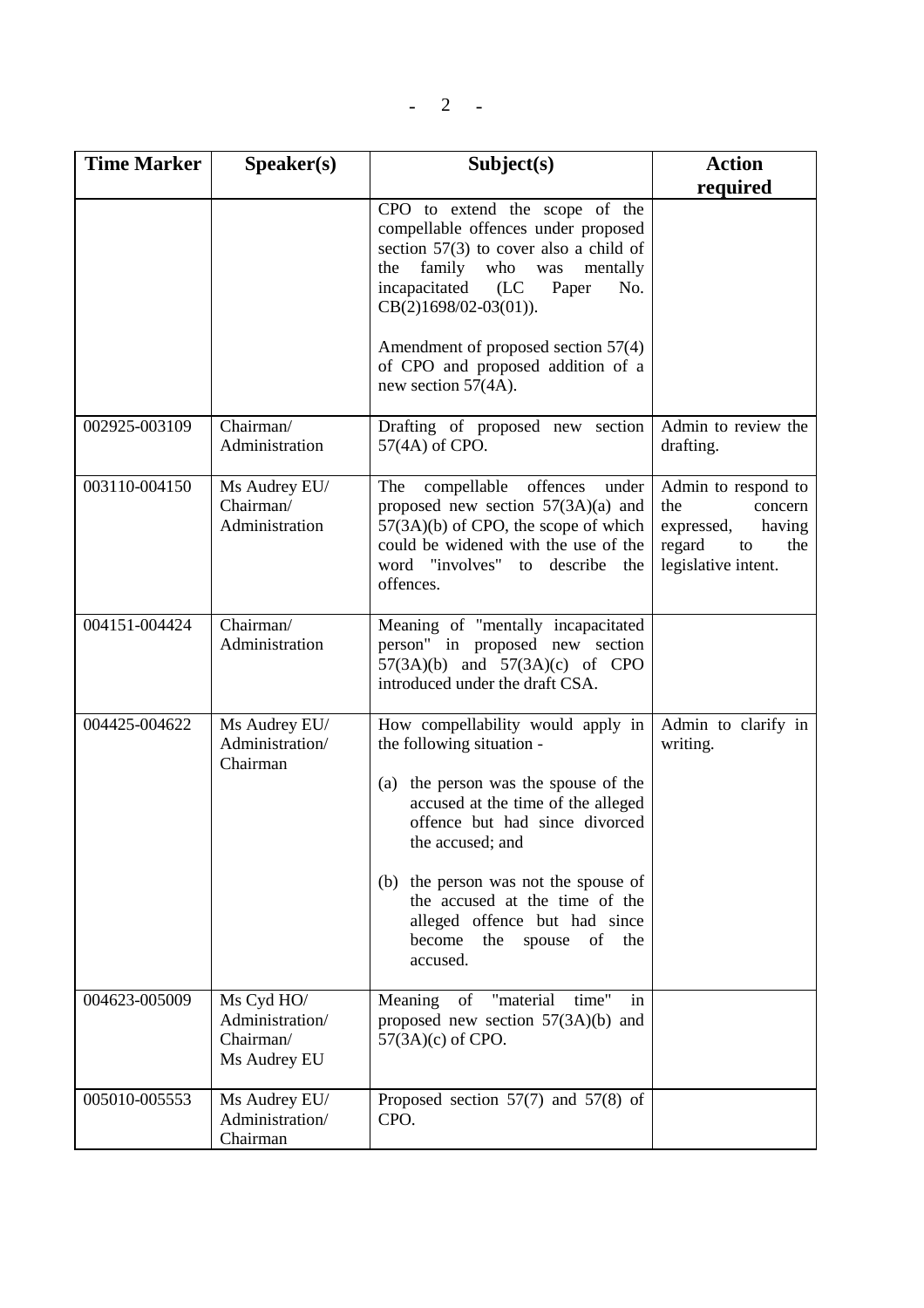| <b>Time Marker</b> | Speaker(s)                                                 | Subject(s)                                                                                                                                                                                                                                                                                                                                                        | <b>Action</b>                                                                                               |
|--------------------|------------------------------------------------------------|-------------------------------------------------------------------------------------------------------------------------------------------------------------------------------------------------------------------------------------------------------------------------------------------------------------------------------------------------------------------|-------------------------------------------------------------------------------------------------------------|
|                    |                                                            |                                                                                                                                                                                                                                                                                                                                                                   | required                                                                                                    |
|                    |                                                            | CPO to extend the scope of the<br>compellable offences under proposed<br>section $57(3)$ to cover also a child of<br>family<br>who<br>the<br>was<br>mentally<br>incapacitated (LC<br>Paper<br>No.<br>$CB(2)1698/02-03(01)).$                                                                                                                                      |                                                                                                             |
|                    |                                                            | Amendment of proposed section 57(4)<br>of CPO and proposed addition of a<br>new section 57(4A).                                                                                                                                                                                                                                                                   |                                                                                                             |
| 002925-003109      | Chairman/<br>Administration                                | Drafting of proposed new section<br>57(4A) of CPO.                                                                                                                                                                                                                                                                                                                | Admin to review the<br>drafting.                                                                            |
| 003110-004150      | Ms Audrey EU/<br>Chairman/<br>Administration               | compellable offences<br>The<br>under<br>proposed new section $57(3A)(a)$ and<br>$57(3A)(b)$ of CPO, the scope of which<br>could be widened with the use of the<br>word "involves" to describe the<br>offences.                                                                                                                                                    | Admin to respond to<br>the<br>concern<br>expressed,<br>having<br>regard<br>the<br>to<br>legislative intent. |
| 004151-004424      | Chairman/<br>Administration                                | Meaning of "mentally incapacitated<br>person" in proposed new section<br>$57(3A)(b)$ and $57(3A)(c)$ of CPO<br>introduced under the draft CSA.                                                                                                                                                                                                                    |                                                                                                             |
| 004425-004622      | Ms Audrey EU/<br>Administration/<br>Chairman               | How compellability would apply in<br>the following situation -<br>(a) the person was the spouse of the<br>accused at the time of the alleged<br>offence but had since divorced<br>the accused; and<br>(b) the person was not the spouse of<br>the accused at the time of the<br>alleged offence but had since<br>become<br>the<br>spouse<br>of<br>the<br>accused. | Admin to clarify in<br>writing.                                                                             |
| 004623-005009      | Ms Cyd HO/<br>Administration/<br>Chairman/<br>Ms Audrey EU | of "material<br>Meaning<br>time"<br>in<br>proposed new section $57(3A)(b)$ and<br>$57(3A)(c)$ of CPO.                                                                                                                                                                                                                                                             |                                                                                                             |
| 005010-005553      | Ms Audrey EU/<br>Administration/<br>Chairman               | Proposed section $57(7)$ and $57(8)$ of<br>CPO.                                                                                                                                                                                                                                                                                                                   |                                                                                                             |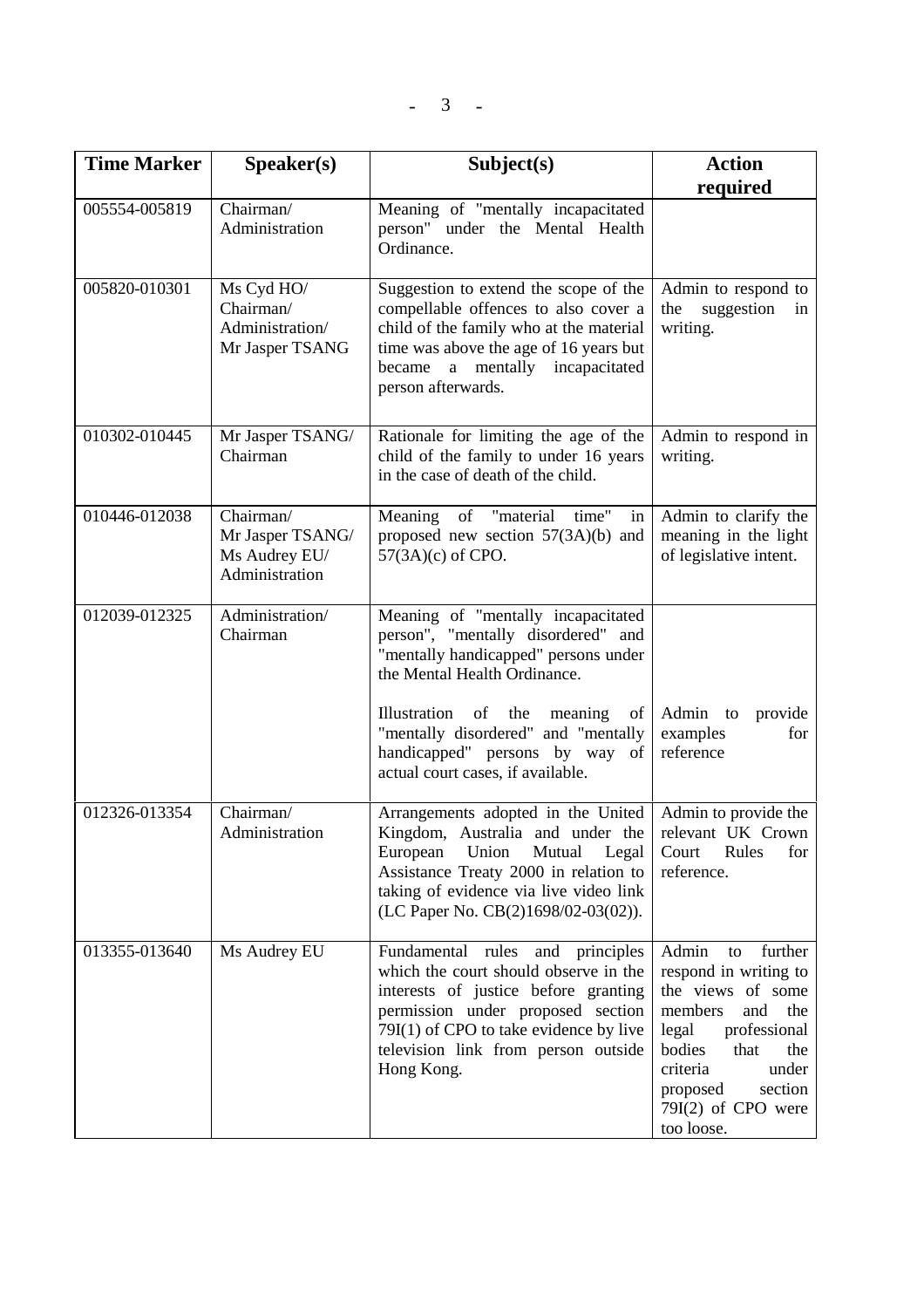| <b>Time Marker</b> | Speaker(s)                                                       | Subject(s)                                                                                                                                                                                                                                                                                             | <b>Action</b>                                                                                                                                                                                                                   |
|--------------------|------------------------------------------------------------------|--------------------------------------------------------------------------------------------------------------------------------------------------------------------------------------------------------------------------------------------------------------------------------------------------------|---------------------------------------------------------------------------------------------------------------------------------------------------------------------------------------------------------------------------------|
|                    |                                                                  |                                                                                                                                                                                                                                                                                                        | required                                                                                                                                                                                                                        |
| 005554-005819      | Chairman/<br>Administration                                      | Meaning of "mentally incapacitated<br>person" under the Mental Health<br>Ordinance.                                                                                                                                                                                                                    |                                                                                                                                                                                                                                 |
| 005820-010301      | Ms Cyd HO/<br>Chairman/<br>Administration/<br>Mr Jasper TSANG    | Suggestion to extend the scope of the<br>compellable offences to also cover a<br>child of the family who at the material<br>time was above the age of 16 years but<br>became a mentally incapacitated<br>person afterwards.                                                                            | Admin to respond to<br>suggestion<br>the<br>in<br>writing.                                                                                                                                                                      |
| 010302-010445      | Mr Jasper TSANG/<br>Chairman                                     | Rationale for limiting the age of the<br>child of the family to under 16 years<br>in the case of death of the child.                                                                                                                                                                                   | Admin to respond in<br>writing.                                                                                                                                                                                                 |
| 010446-012038      | Chairman/<br>Mr Jasper TSANG/<br>Ms Audrey EU/<br>Administration | Meaning of "material<br>time"<br>in<br>proposed new section $57(3A)(b)$ and<br>57(3A)(c) of CPO.                                                                                                                                                                                                       | Admin to clarify the<br>meaning in the light<br>of legislative intent.                                                                                                                                                          |
| 012039-012325      | Administration/<br>Chairman                                      | Meaning of "mentally incapacitated<br>person", "mentally disordered" and<br>"mentally handicapped" persons under<br>the Mental Health Ordinance.<br>Illustration of the<br>meaning<br>of<br>"mentally disordered" and "mentally<br>handicapped" persons by way of<br>actual court cases, if available. | Admin to<br>provide<br>examples<br>for<br>reference                                                                                                                                                                             |
| 012326-013354      | Chairman/<br>Administration                                      | Arrangements adopted in the United<br>Kingdom, Australia and under the<br>Mutual<br>European<br>Union<br>Legal<br>Assistance Treaty 2000 in relation to<br>taking of evidence via live video link<br>(LC Paper No. CB(2)1698/02-03(02)).                                                               | Admin to provide the<br>relevant UK Crown<br>Rules<br>Court<br>for<br>reference.                                                                                                                                                |
| 013355-013640      | Ms Audrey EU                                                     | Fundamental rules and<br>principles<br>which the court should observe in the<br>interests of justice before granting<br>permission under proposed section<br>79I(1) of CPO to take evidence by live<br>television link from person outside<br>Hong Kong.                                               | further<br>Admin<br>to<br>respond in writing to<br>the views of some<br>members<br>and<br>the<br>legal<br>professional<br>bodies<br>that<br>the<br>criteria<br>under<br>section<br>proposed<br>79I(2) of CPO were<br>too loose. |